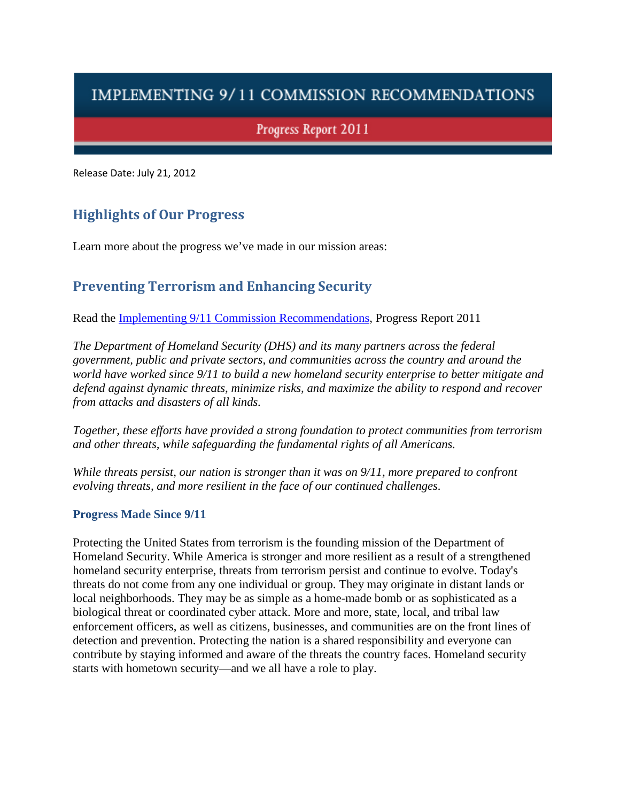# IMPLEMENTING 9/11 COMMISSION RECOMMENDATIONS

## Progress Report 2011

Release Date: July 21, 2012

## **Highlights of Our Progress**

Learn more about the progress we've made in our mission areas:

## **Preventing Terrorism and Enhancing Security**

Read the [Implementing 9/11 Commission Recommendations,](http://www.dhs.gov/files/publications/implementing-9-11-commission-recommendations.shtm) Progress Report 2011

*The Department of Homeland Security (DHS) and its many partners across the federal government, public and private sectors, and communities across the country and around the world have worked since 9/11 to build a new homeland security enterprise to better mitigate and defend against dynamic threats, minimize risks, and maximize the ability to respond and recover from attacks and disasters of all kinds.*

*Together, these efforts have provided a strong foundation to protect communities from terrorism and other threats, while safeguarding the fundamental rights of all Americans.*

*While threats persist, our nation is stronger than it was on 9/11, more prepared to confront evolving threats, and more resilient in the face of our continued challenges.*

#### **Progress Made Since 9/11**

Protecting the United States from terrorism is the founding mission of the Department of Homeland Security. While America is stronger and more resilient as a result of a strengthened homeland security enterprise, threats from terrorism persist and continue to evolve. Today's threats do not come from any one individual or group. They may originate in distant lands or local neighborhoods. They may be as simple as a home-made bomb or as sophisticated as a biological threat or coordinated cyber attack. More and more, state, local, and tribal law enforcement officers, as well as citizens, businesses, and communities are on the front lines of detection and prevention. Protecting the nation is a shared responsibility and everyone can contribute by staying informed and aware of the threats the country faces. Homeland security starts with hometown security—and we all have a role to play.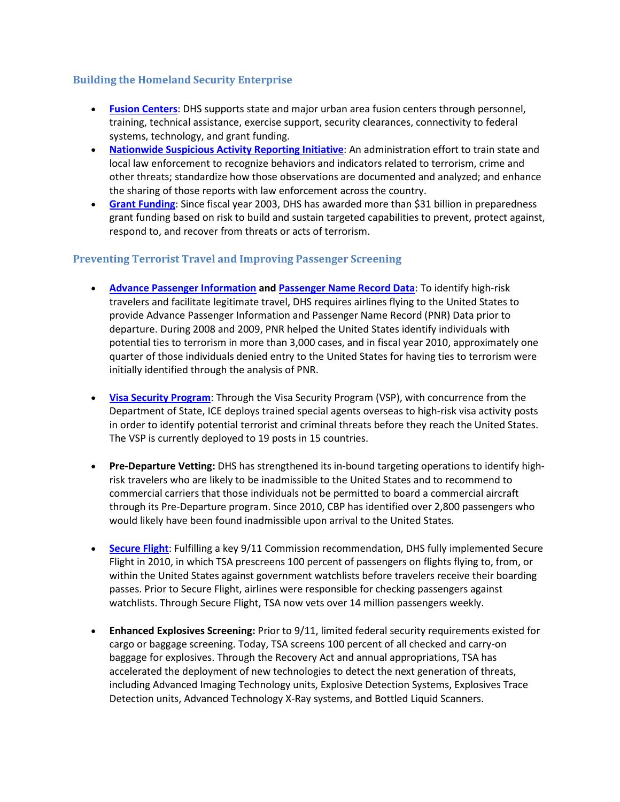#### **Building the Homeland Security Enterprise**

- **[Fusion Centers](http://www.dhs.gov/files/programs/gc_1156877184684.shtm)**: DHS supports state and major urban area fusion centers through personnel, training, technical assistance, exercise support, security clearances, connectivity to federal systems, technology, and grant funding.
- **[Nationwide Suspicious Activity Reporting Initiative](http://nsi.ncirc.gov/default.aspx)**: An administration effort to train state and local law enforcement to recognize behaviors and indicators related to terrorism, crime and other threats; standardize how those observations are documented and analyzed; and enhance the sharing of those reports with law enforcement across the country.
- **[Grant Funding](http://www.dhs.gov/xopnbiz/grants/)**: Since fiscal year 2003, DHS has awarded more than \$31 billion in preparedness grant funding based on risk to build and sustain targeted capabilities to prevent, protect against, respond to, and recover from threats or acts of terrorism.

### **Preventing Terrorist Travel and Improving Passenger Screening**

- **[Advance Passenger Information](http://www.dhs.gov/files/programs/gc_1240515540198.shtm) and [Passenger Name Record Data](http://www.dhs.gov/files/publications/editorial_0514.shtm#5)**: To identify high-risk travelers and facilitate legitimate travel, DHS requires airlines flying to the United States to provide Advance Passenger Information and Passenger Name Record (PNR) Data prior to departure. During 2008 and 2009, PNR helped the United States identify individuals with potential ties to terrorism in more than 3,000 cases, and in fiscal year 2010, approximately one quarter of those individuals denied entry to the United States for having ties to terrorism were initially identified through the analysis of PNR.
- **[Visa Security Program](http://www.ice.gov/visa-security-program/)**: Through the Visa Security Program (VSP), with concurrence from the Department of State, ICE deploys trained special agents overseas to high-risk visa activity posts in order to identify potential terrorist and criminal threats before they reach the United States. The VSP is currently deployed to 19 posts in 15 countries.
- **Pre-Departure Vetting:** DHS has strengthened its in-bound targeting operations to identify highrisk travelers who are likely to be inadmissible to the United States and to recommend to commercial carriers that those individuals not be permitted to board a commercial aircraft through its Pre-Departure program. Since 2010, CBP has identified over 2,800 passengers who would likely have been found inadmissible upon arrival to the United States.
- **[Secure Flight](http://www.tsa.gov/what_we_do/layers/secureflight/index.shtm)**: Fulfilling a key 9/11 Commission recommendation, DHS fully implemented Secure Flight in 2010, in which TSA prescreens 100 percent of passengers on flights flying to, from, or within the United States against government watchlists before travelers receive their boarding passes. Prior to Secure Flight, airlines were responsible for checking passengers against watchlists. Through Secure Flight, TSA now vets over 14 million passengers weekly.
- **Enhanced Explosives Screening:** Prior to 9/11, limited federal security requirements existed for cargo or baggage screening. Today, TSA screens 100 percent of all checked and carry-on baggage for explosives. Through the Recovery Act and annual appropriations, TSA has accelerated the deployment of new technologies to detect the next generation of threats, including Advanced Imaging Technology units, Explosive Detection Systems, Explosives Trace Detection units, Advanced Technology X-Ray systems, and Bottled Liquid Scanners.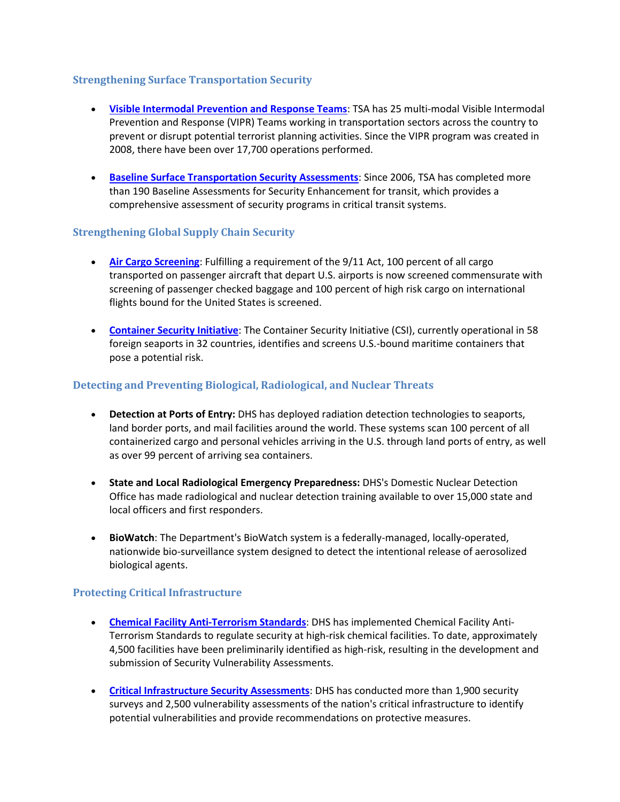#### **Strengthening Surface Transportation Security**

- **[Visible Intermodal Prevention and Response Teams](http://www.tsa.gov/what_we_do/tsnm/mass_transit/force_multipliers.shtm)**: TSA has 25 multi-modal Visible Intermodal Prevention and Response (VIPR) Teams working in transportation sectors across the country to prevent or disrupt potential terrorist planning activities. Since the VIPR program was created in 2008, there have been over 17,700 operations performed.
- **[Baseline Surface Transportation Security Assessments](http://www.tsa.gov/what_we_do/tsnm/mass_transit/sec_baseline.shtm)**: Since 2006, TSA has completed more than 190 Baseline Assessments for Security Enhancement for transit, which provides a comprehensive assessment of security programs in critical transit systems.

### **Strengthening Global Supply Chain Security**

- **[Air Cargo Screening](http://www.tsa.gov/what_we_do/layers/aircargo/index.shtm)**: Fulfilling a requirement of the 9/11 Act, 100 percent of all cargo transported on passenger aircraft that depart U.S. airports is now screened commensurate with screening of passenger checked baggage and 100 percent of high risk cargo on international flights bound for the United States is screened.
- **[Container Security Initiative](http://www.dhs.gov/files/programs/gc_1165872287564.shtm)**: The Container Security Initiative (CSI), currently operational in 58 foreign seaports in 32 countries, identifies and screens U.S.-bound maritime containers that pose a potential risk.

#### **Detecting and Preventing Biological, Radiological, and Nuclear Threats**

- **Detection at Ports of Entry:** DHS has deployed radiation detection technologies to seaports, land border ports, and mail facilities around the world. These systems scan 100 percent of all containerized cargo and personal vehicles arriving in the U.S. through land ports of entry, as well as over 99 percent of arriving sea containers.
- **State and Local Radiological Emergency Preparedness:** DHS's Domestic Nuclear Detection Office has made radiological and nuclear detection training available to over 15,000 state and local officers and first responders.
- **BioWatch**: The Department's BioWatch system is a federally-managed, locally-operated, nationwide bio-surveillance system designed to detect the intentional release of aerosolized biological agents.

### **Protecting Critical Infrastructure**

- **[Chemical Facility Anti-Terrorism Standards](http://www.dhs.gov/files/laws/gc_1166796969417.shtm)**: DHS has implemented Chemical Facility Anti-Terrorism Standards to regulate security at high-risk chemical facilities. To date, approximately 4,500 facilities have been preliminarily identified as high-risk, resulting in the development and submission of Security Vulnerability Assessments.
- **[Critical Infrastructure Security Assessments](http://www.dhs.gov/files/programs/gc_1265660667069.shtm)**: DHS has conducted more than 1,900 security surveys and 2,500 vulnerability assessments of the nation's critical infrastructure to identify potential vulnerabilities and provide recommendations on protective measures.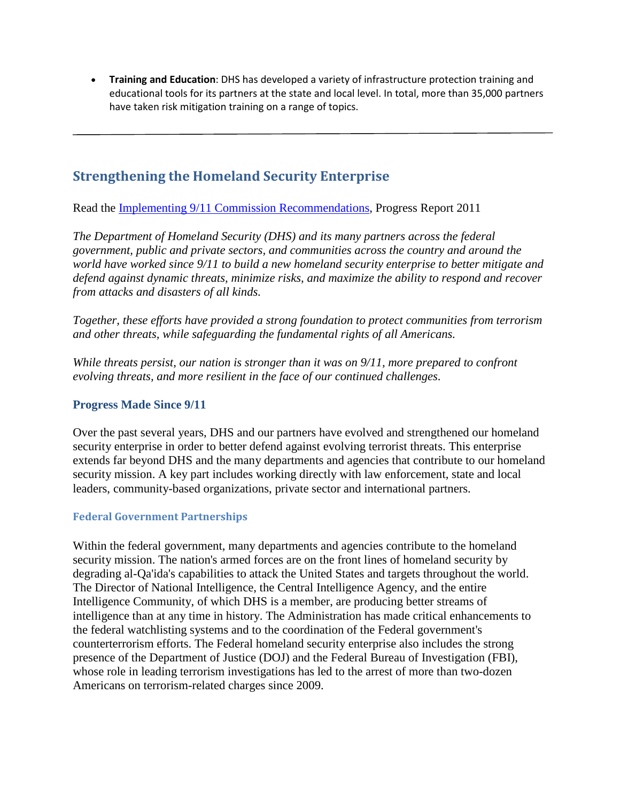• **Training and Education**: DHS has developed a variety of infrastructure protection training and educational tools for its partners at the state and local level. In total, more than 35,000 partners have taken risk mitigation training on a range of topics.

## **Strengthening the Homeland Security Enterprise**

Read the [Implementing 9/11 Commission Recommendations,](http://www.dhs.gov/files/publications/implementing-9-11-commission-recommendations.shtm) Progress Report 2011

*The Department of Homeland Security (DHS) and its many partners across the federal government, public and private sectors, and communities across the country and around the world have worked since 9/11 to build a new homeland security enterprise to better mitigate and defend against dynamic threats, minimize risks, and maximize the ability to respond and recover from attacks and disasters of all kinds.*

*Together, these efforts have provided a strong foundation to protect communities from terrorism and other threats, while safeguarding the fundamental rights of all Americans.*

*While threats persist, our nation is stronger than it was on 9/11, more prepared to confront evolving threats, and more resilient in the face of our continued challenges.*

### **Progress Made Since 9/11**

Over the past several years, DHS and our partners have evolved and strengthened our homeland security enterprise in order to better defend against evolving terrorist threats. This enterprise extends far beyond DHS and the many departments and agencies that contribute to our homeland security mission. A key part includes working directly with law enforcement, state and local leaders, community-based organizations, private sector and international partners.

### **Federal Government Partnerships**

Within the federal government, many departments and agencies contribute to the homeland security mission. The nation's armed forces are on the front lines of homeland security by degrading al-Qa'ida's capabilities to attack the United States and targets throughout the world. The Director of National Intelligence, the Central Intelligence Agency, and the entire Intelligence Community, of which DHS is a member, are producing better streams of intelligence than at any time in history. The Administration has made critical enhancements to the federal watchlisting systems and to the coordination of the Federal government's counterterrorism efforts. The Federal homeland security enterprise also includes the strong presence of the Department of Justice (DOJ) and the Federal Bureau of Investigation (FBI), whose role in leading terrorism investigations has led to the arrest of more than two-dozen Americans on terrorism-related charges since 2009.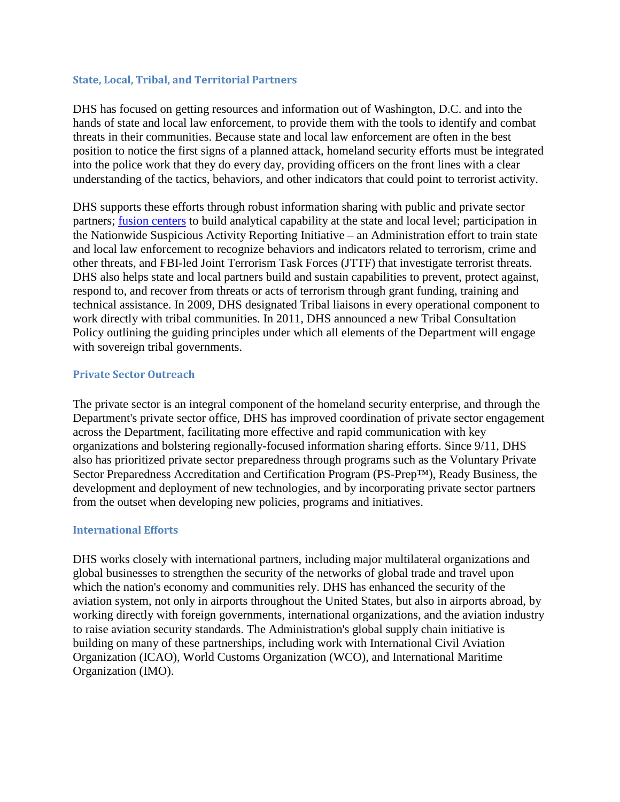#### **State, Local, Tribal, and Territorial Partners**

DHS has focused on getting resources and information out of Washington, D.C. and into the hands of state and local law enforcement, to provide them with the tools to identify and combat threats in their communities. Because state and local law enforcement are often in the best position to notice the first signs of a planned attack, homeland security efforts must be integrated into the police work that they do every day, providing officers on the front lines with a clear understanding of the tactics, behaviors, and other indicators that could point to terrorist activity.

DHS supports these efforts through robust information sharing with public and private sector partners; [fusion centers](http://www.dhs.gov/files/programs/gc_1156877184684.shtm) to build analytical capability at the state and local level; participation in the Nationwide Suspicious Activity Reporting Initiative – an Administration effort to train state and local law enforcement to recognize behaviors and indicators related to terrorism, crime and other threats, and FBI-led Joint Terrorism Task Forces (JTTF) that investigate terrorist threats. DHS also helps state and local partners build and sustain capabilities to prevent, protect against, respond to, and recover from threats or acts of terrorism through grant funding, training and technical assistance. In 2009, DHS designated Tribal liaisons in every operational component to work directly with tribal communities. In 2011, DHS announced a new Tribal Consultation Policy outlining the guiding principles under which all elements of the Department will engage with sovereign tribal governments.

#### **Private Sector Outreach**

The private sector is an integral component of the homeland security enterprise, and through the Department's private sector office, DHS has improved coordination of private sector engagement across the Department, facilitating more effective and rapid communication with key organizations and bolstering regionally-focused information sharing efforts. Since 9/11, DHS also has prioritized private sector preparedness through programs such as the Voluntary Private Sector Preparedness Accreditation and Certification Program (PS-Prep™), Ready Business, the development and deployment of new technologies, and by incorporating private sector partners from the outset when developing new policies, programs and initiatives.

#### **International Efforts**

DHS works closely with international partners, including major multilateral organizations and global businesses to strengthen the security of the networks of global trade and travel upon which the nation's economy and communities rely. DHS has enhanced the security of the aviation system, not only in airports throughout the United States, but also in airports abroad, by working directly with foreign governments, international organizations, and the aviation industry to raise aviation security standards. The Administration's global supply chain initiative is building on many of these partnerships, including work with International Civil Aviation Organization (ICAO), World Customs Organization (WCO), and International Maritime Organization (IMO).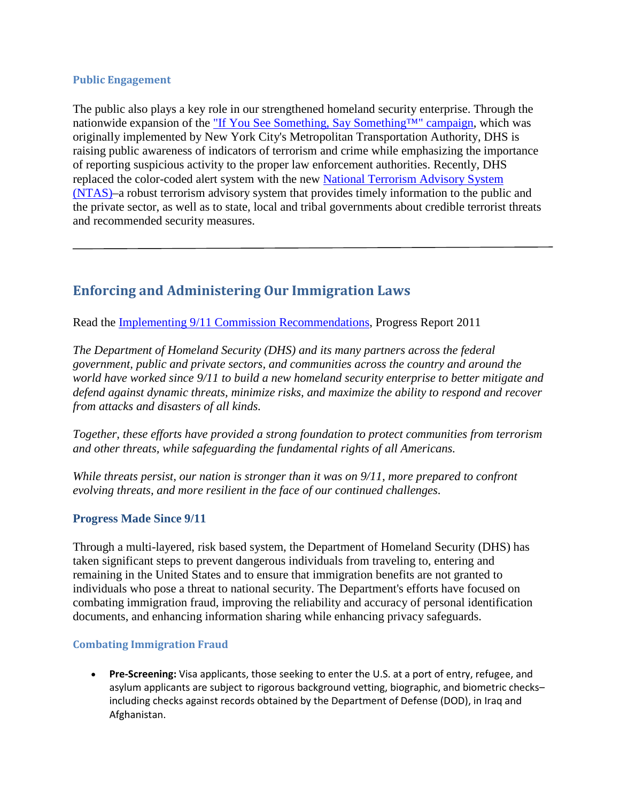#### **Public Engagement**

The public also plays a key role in our strengthened homeland security enterprise. Through the nationwide expansion of the ["If You See Something, Say Something™" campaign,](http://www.dhs.gov/files/reportincidents/see-something-say-something.shtm) which was originally implemented by New York City's Metropolitan Transportation Authority, DHS is raising public awareness of indicators of terrorism and crime while emphasizing the importance of reporting suspicious activity to the proper law enforcement authorities. Recently, DHS replaced the color-coded alert system with the new [National Terrorism Advisory System](http://www.dhs.gov/files/programs/ntas.shtm)  [\(NTAS\)–](http://www.dhs.gov/files/programs/ntas.shtm)a robust terrorism advisory system that provides timely information to the public and the private sector, as well as to state, local and tribal governments about credible terrorist threats and recommended security measures.

## **Enforcing and Administering Our Immigration Laws**

Read the [Implementing 9/11 Commission Recommendations,](http://www.dhs.gov/files/publications/implementing-9-11-commission-recommendations.shtm) Progress Report 2011

*The Department of Homeland Security (DHS) and its many partners across the federal government, public and private sectors, and communities across the country and around the world have worked since 9/11 to build a new homeland security enterprise to better mitigate and defend against dynamic threats, minimize risks, and maximize the ability to respond and recover from attacks and disasters of all kinds.*

*Together, these efforts have provided a strong foundation to protect communities from terrorism and other threats, while safeguarding the fundamental rights of all Americans.*

*While threats persist, our nation is stronger than it was on 9/11, more prepared to confront evolving threats, and more resilient in the face of our continued challenges.*

### **Progress Made Since 9/11**

Through a multi-layered, risk based system, the Department of Homeland Security (DHS) has taken significant steps to prevent dangerous individuals from traveling to, entering and remaining in the United States and to ensure that immigration benefits are not granted to individuals who pose a threat to national security. The Department's efforts have focused on combating immigration fraud, improving the reliability and accuracy of personal identification documents, and enhancing information sharing while enhancing privacy safeguards.

#### **Combating Immigration Fraud**

• **Pre-Screening:** Visa applicants, those seeking to enter the U.S. at a port of entry, refugee, and asylum applicants are subject to rigorous background vetting, biographic, and biometric checks– including checks against records obtained by the Department of Defense (DOD), in Iraq and Afghanistan.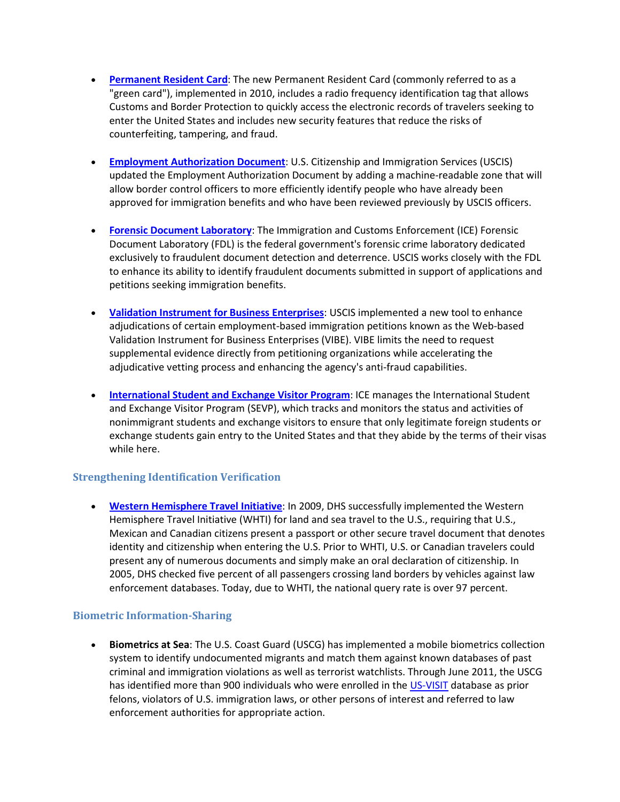- **[Permanent Resident Card](http://www.uscis.gov/portal/site/uscis/menuitem.eb1d4c2a3e5b9ac89243c6a7543f6d1a/?vgnextoid=ae853ad15c673210VgnVCM100000082ca60aRCRD&vgnextchannel=ae853ad15c673210VgnVCM100000082ca60aRCRD)**: The new Permanent Resident Card (commonly referred to as a "green card"), implemented in 2010, includes a radio frequency identification tag that allows Customs and Border Protection to quickly access the electronic records of travelers seeking to enter the United States and includes new security features that reduce the risks of counterfeiting, tampering, and fraud.
- **[Employment Authorization Document](http://www.uscis.gov/portal/site/uscis/menuitem.eb1d4c2a3e5b9ac89243c6a7543f6d1a/?vgnextoid=820a0a5659083210VgnVCM100000082ca60aRCRD&vgnextchannel=820a0a5659083210VgnVCM100000082ca60aRCRD)**: U.S. Citizenship and Immigration Services (USCIS) updated the Employment Authorization Document by adding a machine-readable zone that will allow border control officers to more efficiently identify people who have already been approved for immigration benefits and who have been reviewed previously by USCIS officers.
- **[Forensic Document Laboratory](http://www.ice.gov/forensic-document-lab/)**: The Immigration and Customs Enforcement (ICE) Forensic Document Laboratory (FDL) is the federal government's forensic crime laboratory dedicated exclusively to fraudulent document detection and deterrence. USCIS works closely with the FDL to enhance its ability to identify fraudulent documents submitted in support of applications and petitions seeking immigration benefits.
- **[Validation Instrument for Business Enterprises](http://www.uscis.gov/portal/site/uscis/menuitem.eb1d4c2a3e5b9ac89243c6a7543f6d1a/?vgnextoid=521d735652f9d210VgnVCM100000082ca60aRCRD&vgnextchannel=521d735652f9d210VgnVCM100000082ca60aRCRD)**: USCIS implemented a new tool to enhance adjudications of certain employment-based immigration petitions known as the Web-based Validation Instrument for Business Enterprises (VIBE). VIBE limits the need to request supplemental evidence directly from petitioning organizations while accelerating the adjudicative vetting process and enhancing the agency's anti-fraud capabilities.
- **[International Student and Exchange Visitor Program](http://www.ice.gov/sevis/)**: ICE manages the International Student and Exchange Visitor Program (SEVP), which tracks and monitors the status and activities of nonimmigrant students and exchange visitors to ensure that only legitimate foreign students or exchange students gain entry to the United States and that they abide by the terms of their visas while here.

### **Strengthening Identification Verification**

• **[Western Hemisphere Travel Initiative](http://www.getyouhome.gov/html/eng_map.html)**: In 2009, DHS successfully implemented the Western Hemisphere Travel Initiative (WHTI) for land and sea travel to the U.S., requiring that U.S., Mexican and Canadian citizens present a passport or other secure travel document that denotes identity and citizenship when entering the U.S. Prior to WHTI, U.S. or Canadian travelers could present any of numerous documents and simply make an oral declaration of citizenship. In 2005, DHS checked five percent of all passengers crossing land borders by vehicles against law enforcement databases. Today, due to WHTI, the national query rate is over 97 percent.

### **Biometric Information-Sharing**

• **Biometrics at Sea**: The U.S. Coast Guard (USCG) has implemented a mobile biometrics collection system to identify undocumented migrants and match them against known databases of past criminal and immigration violations as well as terrorist watchlists. Through June 2011, the USCG has identified more than 900 individuals who were enrolled in the [US-VISIT](http://www.dhs.gov/files/programs/gc_1208531081211.shtm) database as prior felons, violators of U.S. immigration laws, or other persons of interest and referred to law enforcement authorities for appropriate action.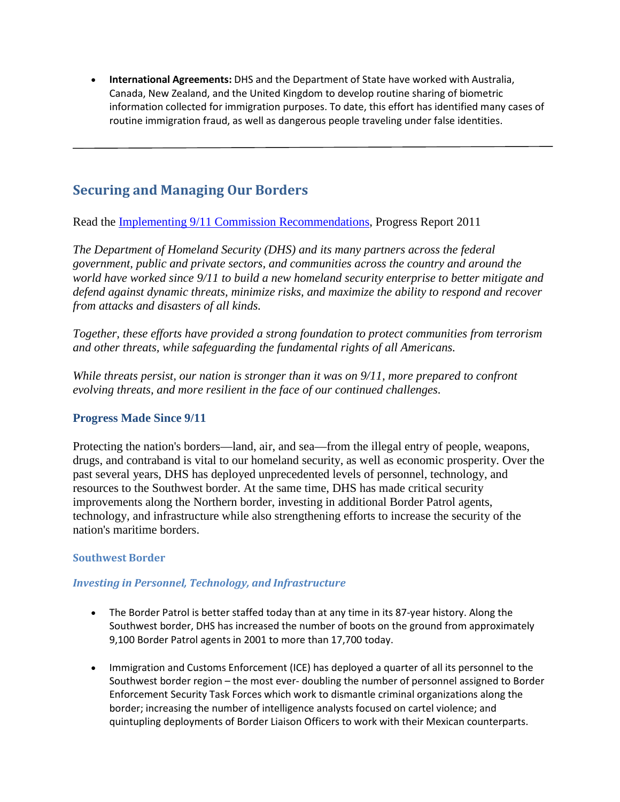• **International Agreements:** DHS and the Department of State have worked with Australia, Canada, New Zealand, and the United Kingdom to develop routine sharing of biometric information collected for immigration purposes. To date, this effort has identified many cases of routine immigration fraud, as well as dangerous people traveling under false identities.

## **Securing and Managing Our Borders**

Read the [Implementing 9/11 Commission Recommendations,](http://www.dhs.gov/files/publications/implementing-9-11-commission-recommendations.shtm) Progress Report 2011

*The Department of Homeland Security (DHS) and its many partners across the federal government, public and private sectors, and communities across the country and around the world have worked since 9/11 to build a new homeland security enterprise to better mitigate and defend against dynamic threats, minimize risks, and maximize the ability to respond and recover from attacks and disasters of all kinds.*

*Together, these efforts have provided a strong foundation to protect communities from terrorism and other threats, while safeguarding the fundamental rights of all Americans.*

*While threats persist, our nation is stronger than it was on 9/11, more prepared to confront evolving threats, and more resilient in the face of our continued challenges.*

### **Progress Made Since 9/11**

Protecting the nation's borders—land, air, and sea—from the illegal entry of people, weapons, drugs, and contraband is vital to our homeland security, as well as economic prosperity. Over the past several years, DHS has deployed unprecedented levels of personnel, technology, and resources to the Southwest border. At the same time, DHS has made critical security improvements along the Northern border, investing in additional Border Patrol agents, technology, and infrastructure while also strengthening efforts to increase the security of the nation's maritime borders.

### **Southwest Border**

### *Investing in Personnel, Technology, and Infrastructure*

- The Border Patrol is better staffed today than at any time in its 87-year history. Along the Southwest border, DHS has increased the number of boots on the ground from approximately 9,100 Border Patrol agents in 2001 to more than 17,700 today.
- Immigration and Customs Enforcement (ICE) has deployed a quarter of all its personnel to the Southwest border region – the most ever- doubling the number of personnel assigned to Border Enforcement Security Task Forces which work to dismantle criminal organizations along the border; increasing the number of intelligence analysts focused on cartel violence; and quintupling deployments of Border Liaison Officers to work with their Mexican counterparts.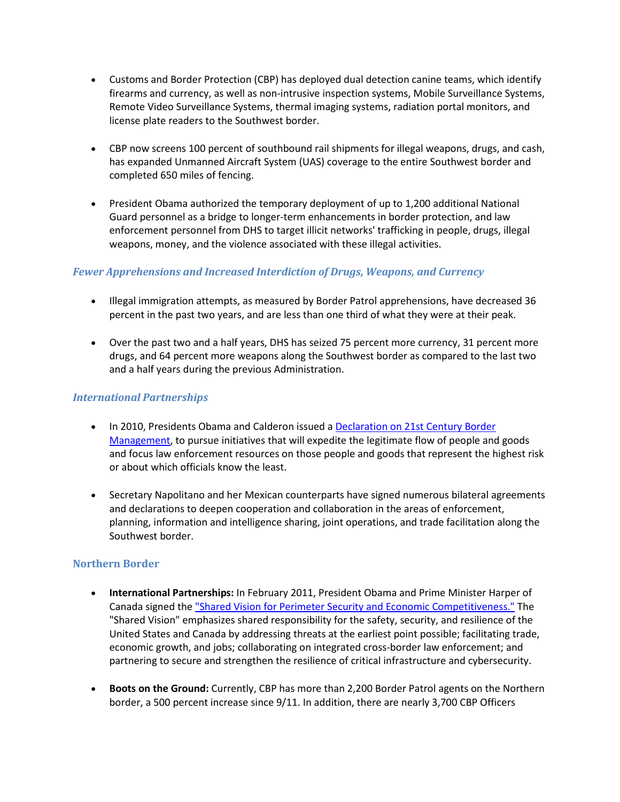- Customs and Border Protection (CBP) has deployed dual detection canine teams, which identify firearms and currency, as well as non-intrusive inspection systems, Mobile Surveillance Systems, Remote Video Surveillance Systems, thermal imaging systems, radiation portal monitors, and license plate readers to the Southwest border.
- CBP now screens 100 percent of southbound rail shipments for illegal weapons, drugs, and cash, has expanded Unmanned Aircraft System (UAS) coverage to the entire Southwest border and completed 650 miles of fencing.
- President Obama authorized the temporary deployment of up to 1,200 additional National Guard personnel as a bridge to longer-term enhancements in border protection, and law enforcement personnel from DHS to target illicit networks' trafficking in people, drugs, illegal weapons, money, and the violence associated with these illegal activities.

### *Fewer Apprehensions and Increased Interdiction of Drugs, Weapons, and Currency*

- Illegal immigration attempts, as measured by Border Patrol apprehensions, have decreased 36 percent in the past two years, and are less than one third of what they were at their peak.
- Over the past two and a half years, DHS has seized 75 percent more currency, 31 percent more drugs, and 64 percent more weapons along the Southwest border as compared to the last two and a half years during the previous Administration.

### *International Partnerships*

- In 2010, Presidents Obama and Calderon issued a Declaration on 21st Century Border [Management,](http://www.whitehouse.gov/the-press-office/declaration-government-united-states-america-and-government-united-mexican-states-c) to pursue initiatives that will expedite the legitimate flow of people and goods and focus law enforcement resources on those people and goods that represent the highest risk or about which officials know the least.
- Secretary Napolitano and her Mexican counterparts have signed numerous bilateral agreements and declarations to deepen cooperation and collaboration in the areas of enforcement, planning, information and intelligence sharing, joint operations, and trade facilitation along the Southwest border.

### **Northern Border**

- **International Partnerships:** In February 2011, President Obama and Prime Minister Harper of Canada signed th[e "Shared Vision for Perimeter Security and Economic Competitiveness."](http://www.whitehouse.gov/the-press-office/2011/02/04/declaration-president-obama-and-prime-minister-harper-canada-beyond-bord) The "Shared Vision" emphasizes shared responsibility for the safety, security, and resilience of the United States and Canada by addressing threats at the earliest point possible; facilitating trade, economic growth, and jobs; collaborating on integrated cross-border law enforcement; and partnering to secure and strengthen the resilience of critical infrastructure and cybersecurity.
- **Boots on the Ground:** Currently, CBP has more than 2,200 Border Patrol agents on the Northern border, a 500 percent increase since 9/11. In addition, there are nearly 3,700 CBP Officers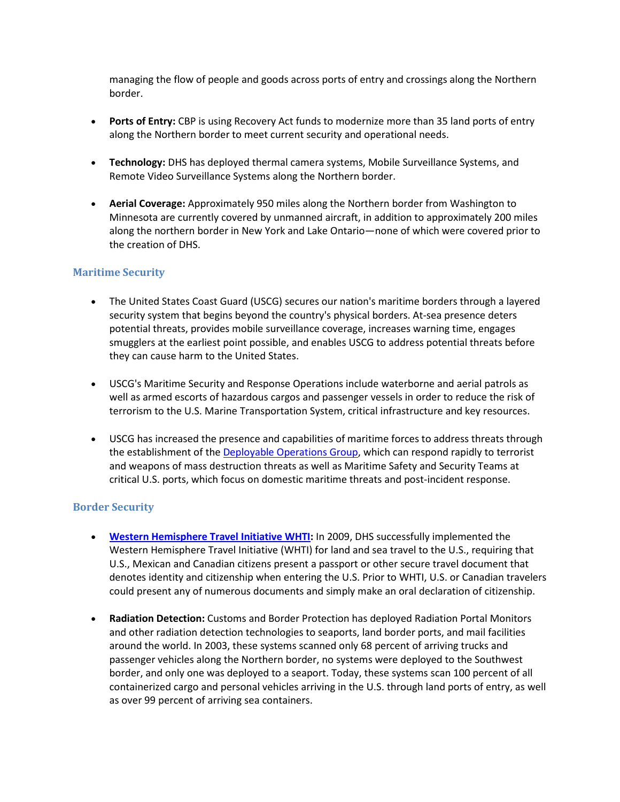managing the flow of people and goods across ports of entry and crossings along the Northern border.

- **Ports of Entry:** CBP is using Recovery Act funds to modernize more than 35 land ports of entry along the Northern border to meet current security and operational needs.
- **Technology:** DHS has deployed thermal camera systems, Mobile Surveillance Systems, and Remote Video Surveillance Systems along the Northern border.
- **Aerial Coverage:** Approximately 950 miles along the Northern border from Washington to Minnesota are currently covered by unmanned aircraft, in addition to approximately 200 miles along the northern border in New York and Lake Ontario—none of which were covered prior to the creation of DHS.

#### **Maritime Security**

- The United States Coast Guard (USCG) secures our nation's maritime borders through a layered security system that begins beyond the country's physical borders. At-sea presence deters potential threats, provides mobile surveillance coverage, increases warning time, engages smugglers at the earliest point possible, and enables USCG to address potential threats before they can cause harm to the United States.
- USCG's Maritime Security and Response Operations include waterborne and aerial patrols as well as armed escorts of hazardous cargos and passenger vessels in order to reduce the risk of terrorism to the U.S. Marine Transportation System, critical infrastructure and key resources.
- USCG has increased the presence and capabilities of maritime forces to address threats through the establishment of th[e Deployable Operations](http://www.uscg.mil/pacarea/dog/) Group, which can respond rapidly to terrorist and weapons of mass destruction threats as well as Maritime Safety and Security Teams at critical U.S. ports, which focus on domestic maritime threats and post-incident response.

### **Border Security**

- **[Western Hemisphere Travel Initiative WHTI:](http://www.getyouhome.gov/html/eng_map.html)** In 2009, DHS successfully implemented the Western Hemisphere Travel Initiative (WHTI) for land and sea travel to the U.S., requiring that U.S., Mexican and Canadian citizens present a passport or other secure travel document that denotes identity and citizenship when entering the U.S. Prior to WHTI, U.S. or Canadian travelers could present any of numerous documents and simply make an oral declaration of citizenship.
- **Radiation Detection:** Customs and Border Protection has deployed Radiation Portal Monitors and other radiation detection technologies to seaports, land border ports, and mail facilities around the world. In 2003, these systems scanned only 68 percent of arriving trucks and passenger vehicles along the Northern border, no systems were deployed to the Southwest border, and only one was deployed to a seaport. Today, these systems scan 100 percent of all containerized cargo and personal vehicles arriving in the U.S. through land ports of entry, as well as over 99 percent of arriving sea containers.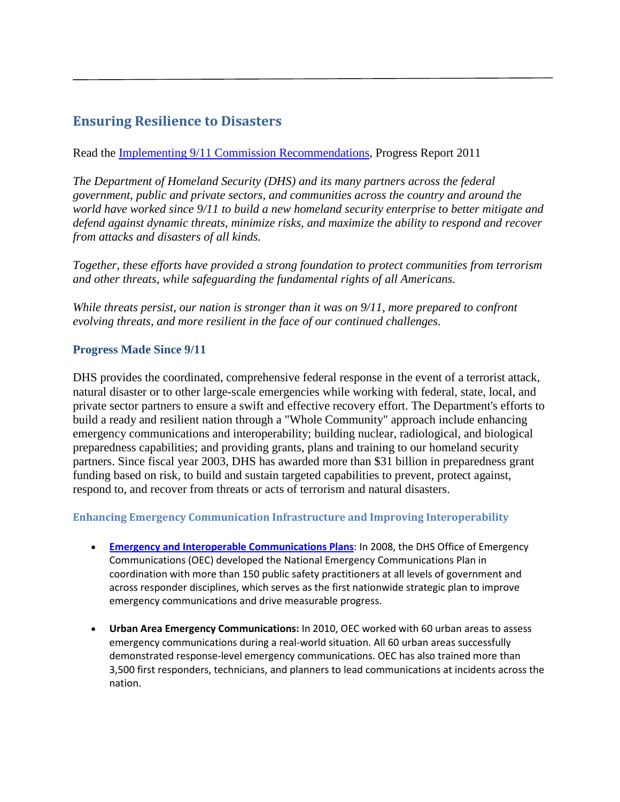## **Ensuring Resilience to Disasters**

## Read the [Implementing 9/11 Commission Recommendations,](http://www.dhs.gov/files/publications/implementing-9-11-commission-recommendations.shtm) Progress Report 2011

*The Department of Homeland Security (DHS) and its many partners across the federal government, public and private sectors, and communities across the country and around the world have worked since 9/11 to build a new homeland security enterprise to better mitigate and defend against dynamic threats, minimize risks, and maximize the ability to respond and recover from attacks and disasters of all kinds.*

*Together, these efforts have provided a strong foundation to protect communities from terrorism and other threats, while safeguarding the fundamental rights of all Americans.*

*While threats persist, our nation is stronger than it was on 9/11, more prepared to confront evolving threats, and more resilient in the face of our continued challenges.*

### **Progress Made Since 9/11**

DHS provides the coordinated, comprehensive federal response in the event of a terrorist attack, natural disaster or to other large-scale emergencies while working with federal, state, local, and private sector partners to ensure a swift and effective recovery effort. The Department's efforts to build a ready and resilient nation through a "Whole Community" approach include enhancing emergency communications and interoperability; building nuclear, radiological, and biological preparedness capabilities; and providing grants, plans and training to our homeland security partners. Since fiscal year 2003, DHS has awarded more than \$31 billion in preparedness grant funding based on risk, to build and sustain targeted capabilities to prevent, protect against, respond to, and recover from threats or acts of terrorism and natural disasters.

### **Enhancing Emergency Communication Infrastructure and Improving Interoperability**

- **[Emergency and Interoperable Communications Plans](http://www.dhs.gov/files/publications/gc_1217521334397.shtm)**: In 2008, the DHS Office of Emergency Communications (OEC) developed the National Emergency Communications Plan in coordination with more than 150 public safety practitioners at all levels of government and across responder disciplines, which serves as the first nationwide strategic plan to improve emergency communications and drive measurable progress.
- **Urban Area Emergency Communications:** In 2010, OEC worked with 60 urban areas to assess emergency communications during a real-world situation. All 60 urban areas successfully demonstrated response-level emergency communications. OEC has also trained more than 3,500 first responders, technicians, and planners to lead communications at incidents across the nation.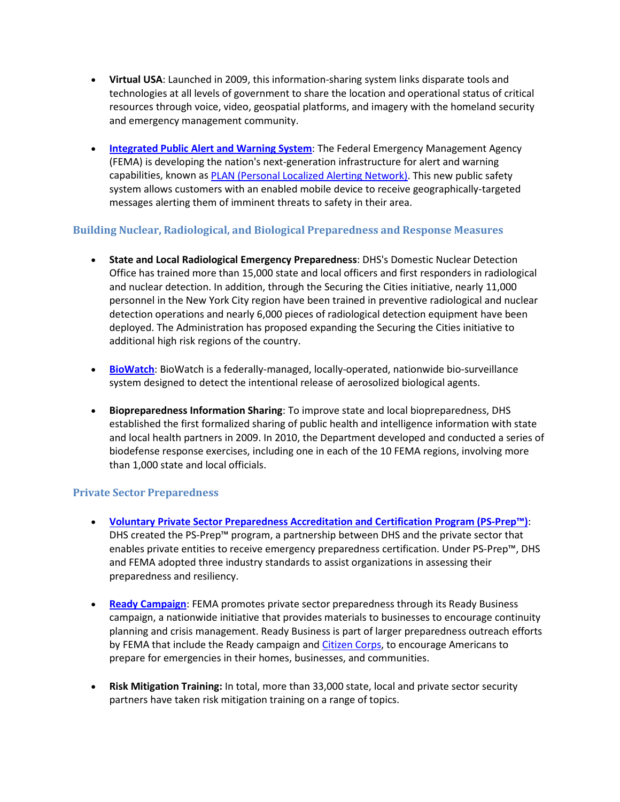- **Virtual USA**: Launched in 2009, this information-sharing system links disparate tools and technologies at all levels of government to share the location and operational status of critical resources through voice, video, geospatial platforms, and imagery with the homeland security and emergency management community.
- **[Integrated Public Alert and Warning System](http://www.fema.gov/emergency/ipaws/)**: The Federal Emergency Management Agency (FEMA) is developing the nation's next-generation infrastructure for alert and warning capabilities, known as [PLAN \(Personal Localized Alerting Network\).](http://www.fema.gov/news/newsrelease.fema?id=54882) This new public safety system allows customers with an enabled mobile device to receive geographically-targeted messages alerting them of imminent threats to safety in their area.

### **Building Nuclear, Radiological, and Biological Preparedness and Response Measures**

- **State and Local Radiological Emergency Preparedness**: DHS's Domestic Nuclear Detection Office has trained more than 15,000 state and local officers and first responders in radiological and nuclear detection. In addition, through the Securing the Cities initiative, nearly 11,000 personnel in the New York City region have been trained in preventive radiological and nuclear detection operations and nearly 6,000 pieces of radiological detection equipment have been deployed. The Administration has proposed expanding the Securing the Cities initiative to additional high risk regions of the country.
- **[BioWatch](http://www.dhs.gov/files/programs/gc_1217618128056.shtm)**: BioWatch is a federally-managed, locally-operated, nationwide bio-surveillance system designed to detect the intentional release of aerosolized biological agents.
- **Biopreparedness Information Sharing**: To improve state and local biopreparedness, DHS established the first formalized sharing of public health and intelligence information with state and local health partners in 2009. In 2010, the Department developed and conducted a series of biodefense response exercises, including one in each of the 10 FEMA regions, involving more than 1,000 state and local officials.

### **Private Sector Preparedness**

- **[Voluntary Private Sector Preparedness Accreditation and Certification Program \(PS-Prep™\)](http://www.fema.gov/privatesector/preparedness/)**: DHS created the PS-Prep™ program, a partnership between DHS and the private sector that enables private entities to receive emergency preparedness certification. Under PS-Prep™, DHS and FEMA adopted three industry standards to assist organizations in assessing their preparedness and resiliency.
- **[Ready Campaign](http://www.ready.gov/)**: FEMA promotes private sector preparedness through its Ready Business campaign, a nationwide initiative that provides materials to businesses to encourage continuity planning and crisis management. Ready Business is part of larger preparedness outreach efforts by FEMA that include the Ready campaign and [Citizen Corps,](http://citizencorps.gov/) to encourage Americans to prepare for emergencies in their homes, businesses, and communities.
- **Risk Mitigation Training:** In total, more than 33,000 state, local and private sector security partners have taken risk mitigation training on a range of topics.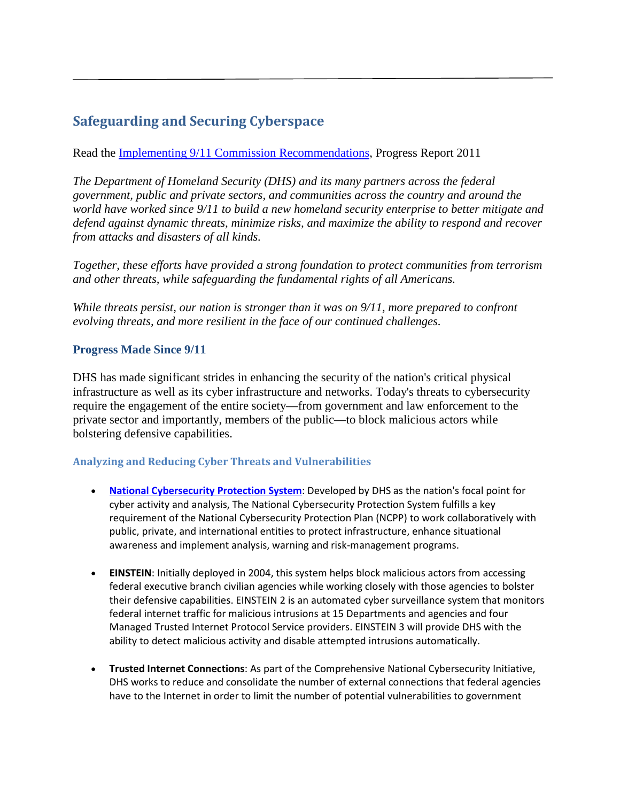## **Safeguarding and Securing Cyberspace**

Read the [Implementing 9/11 Commission Recommendations,](http://www.dhs.gov/files/publications/implementing-9-11-commission-recommendations.shtm) Progress Report 2011

*The Department of Homeland Security (DHS) and its many partners across the federal government, public and private sectors, and communities across the country and around the world have worked since 9/11 to build a new homeland security enterprise to better mitigate and defend against dynamic threats, minimize risks, and maximize the ability to respond and recover from attacks and disasters of all kinds.*

*Together, these efforts have provided a strong foundation to protect communities from terrorism and other threats, while safeguarding the fundamental rights of all Americans.*

*While threats persist, our nation is stronger than it was on 9/11, more prepared to confront evolving threats, and more resilient in the face of our continued challenges.*

### **Progress Made Since 9/11**

DHS has made significant strides in enhancing the security of the nation's critical physical infrastructure as well as its cyber infrastructure and networks. Today's threats to cybersecurity require the engagement of the entire society—from government and law enforcement to the private sector and importantly, members of the public—to block malicious actors while bolstering defensive capabilities.

## **Analyzing and Reducing Cyber Threats and Vulnerabilities**

- **[National Cybersecurity Protection System](http://www.dhs.gov/xabout/structure/editorial_0839.shtm)**: Developed by DHS as the nation's focal point for cyber activity and analysis, The National Cybersecurity Protection System fulfills a key requirement of the National Cybersecurity Protection Plan (NCPP) to work collaboratively with public, private, and international entities to protect infrastructure, enhance situational awareness and implement analysis, warning and risk-management programs.
- **EINSTEIN**: Initially deployed in 2004, this system helps block malicious actors from accessing federal executive branch civilian agencies while working closely with those agencies to bolster their defensive capabilities. EINSTEIN 2 is an automated cyber surveillance system that monitors federal internet traffic for malicious intrusions at 15 Departments and agencies and four Managed Trusted Internet Protocol Service providers. EINSTEIN 3 will provide DHS with the ability to detect malicious activity and disable attempted intrusions automatically.
- **Trusted Internet Connections**: As part of the Comprehensive National Cybersecurity Initiative, DHS works to reduce and consolidate the number of external connections that federal agencies have to the Internet in order to limit the number of potential vulnerabilities to government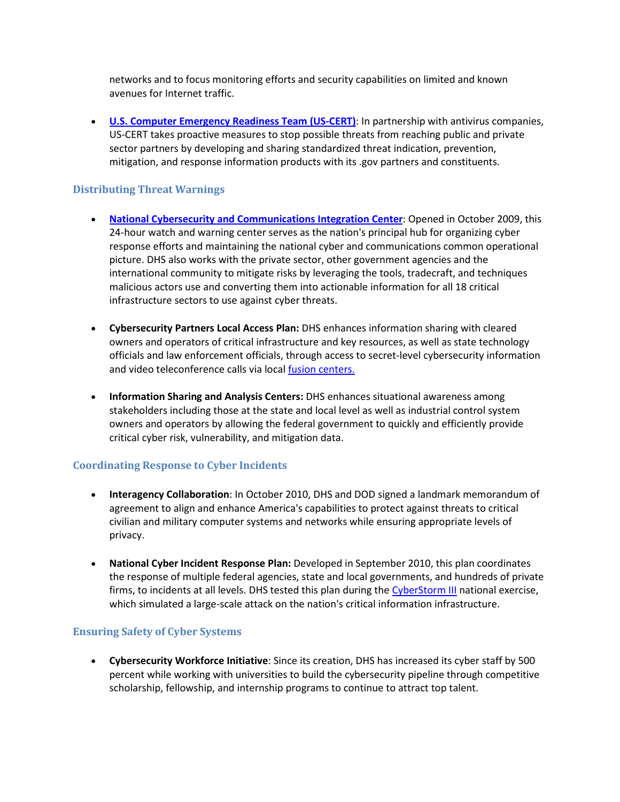networks and to focus monitoring efforts and security capabilities on limited and known avenues for Internet traffic.

• **[U.S. Computer Emergency Readiness Team \(US-CERT\)](http://www.us-cert.gov/)**: In partnership with antivirus companies, US-CERT takes proactive measures to stop possible threats from reaching public and private sector partners by developing and sharing standardized threat indication, prevention, mitigation, and response information products with its .gov partners and constituents.

### **Distributing Threat Warnings**

- **[National Cybersecurity and Communications Integration Center](http://www.dhs.gov/xabout/structure/gc_1306334251555.shtm)**: Opened in October 2009, this 24-hour watch and warning center serves as the nation's principal hub for organizing cyber response efforts and maintaining the national cyber and communications common operational picture. DHS also works with the private sector, other government agencies and the international community to mitigate risks by leveraging the tools, tradecraft, and techniques malicious actors use and converting them into actionable information for all 18 critical infrastructure sectors to use against cyber threats.
- **Cybersecurity Partners Local Access Plan:** DHS enhances information sharing with cleared owners and operators of critical infrastructure and key resources, as well as state technology officials and law enforcement officials, through access to secret-level cybersecurity information and video teleconference calls via loca[l fusion centers.](http://www.dhs.gov/files/programs/gc_1156877184684.shtm)
- **Information Sharing and Analysis Centers:** DHS enhances situational awareness among stakeholders including those at the state and local level as well as industrial control system owners and operators by allowing the federal government to quickly and efficiently provide critical cyber risk, vulnerability, and mitigation data.

### **Coordinating Response to Cyber Incidents**

- **Interagency Collaboration**: In October 2010, DHS and DOD signed a landmark memorandum of agreement to align and enhance America's capabilities to protect against threats to critical civilian and military computer systems and networks while ensuring appropriate levels of privacy.
- **National Cyber Incident Response Plan:** Developed in September 2010, this plan coordinates the response of multiple federal agencies, state and local governments, and hundreds of private firms, to incidents at all levels. DHS tested this plan during the [CyberStorm III](http://www.dhs.gov/files/training/gc_1204738275985.shtm) national exercise, which simulated a large-scale attack on the nation's critical information infrastructure.

## **Ensuring Safety of Cyber Systems**

• **Cybersecurity Workforce Initiative**: Since its creation, DHS has increased its cyber staff by 500 percent while working with universities to build the cybersecurity pipeline through competitive scholarship, fellowship, and internship programs to continue to attract top talent.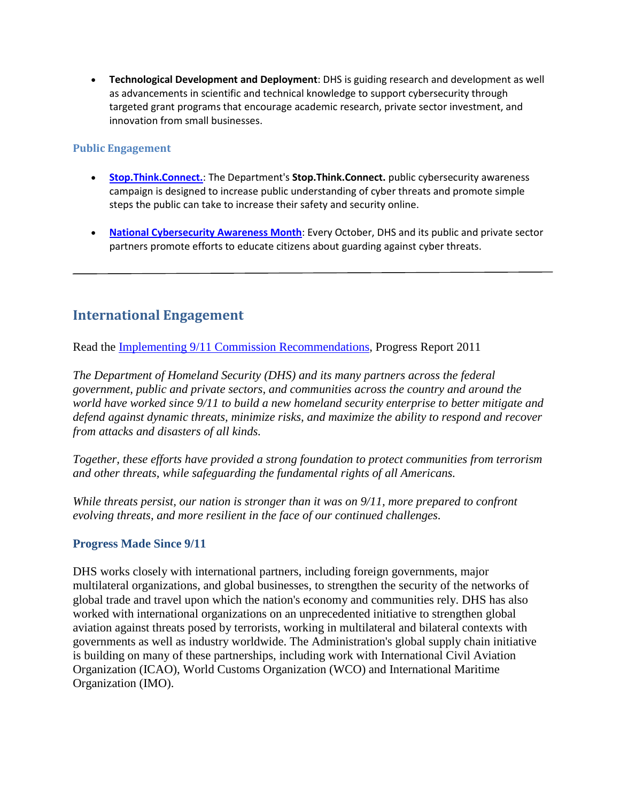• **Technological Development and Deployment**: DHS is guiding research and development as well as advancements in scientific and technical knowledge to support cybersecurity through targeted grant programs that encourage academic research, private sector investment, and innovation from small businesses.

### **Public Engagement**

- **[Stop.Think.Connect.](http://www.dhs.gov/files/events/stop-think-connect.shtm)**: The Department's **Stop.Think.Connect.** public cybersecurity awareness campaign is designed to increase public understanding of cyber threats and promote simple steps the public can take to increase their safety and security online.
- **[National Cybersecurity Awareness Month](http://www.dhs.gov/files/programs/gc_1158611596104.shtm#1)**: Every October, DHS and its public and private sector partners promote efforts to educate citizens about guarding against cyber threats.

## **International Engagement**

Read the [Implementing 9/11 Commission Recommendations,](http://www.dhs.gov/files/publications/implementing-9-11-commission-recommendations.shtm) Progress Report 2011

*The Department of Homeland Security (DHS) and its many partners across the federal government, public and private sectors, and communities across the country and around the world have worked since 9/11 to build a new homeland security enterprise to better mitigate and defend against dynamic threats, minimize risks, and maximize the ability to respond and recover from attacks and disasters of all kinds.*

*Together, these efforts have provided a strong foundation to protect communities from terrorism and other threats, while safeguarding the fundamental rights of all Americans.*

*While threats persist, our nation is stronger than it was on 9/11, more prepared to confront evolving threats, and more resilient in the face of our continued challenges.*

## **Progress Made Since 9/11**

DHS works closely with international partners, including foreign governments, major multilateral organizations, and global businesses, to strengthen the security of the networks of global trade and travel upon which the nation's economy and communities rely. DHS has also worked with international organizations on an unprecedented initiative to strengthen global aviation against threats posed by terrorists, working in multilateral and bilateral contexts with governments as well as industry worldwide. The Administration's global supply chain initiative is building on many of these partnerships, including work with International Civil Aviation Organization (ICAO), World Customs Organization (WCO) and International Maritime Organization (IMO).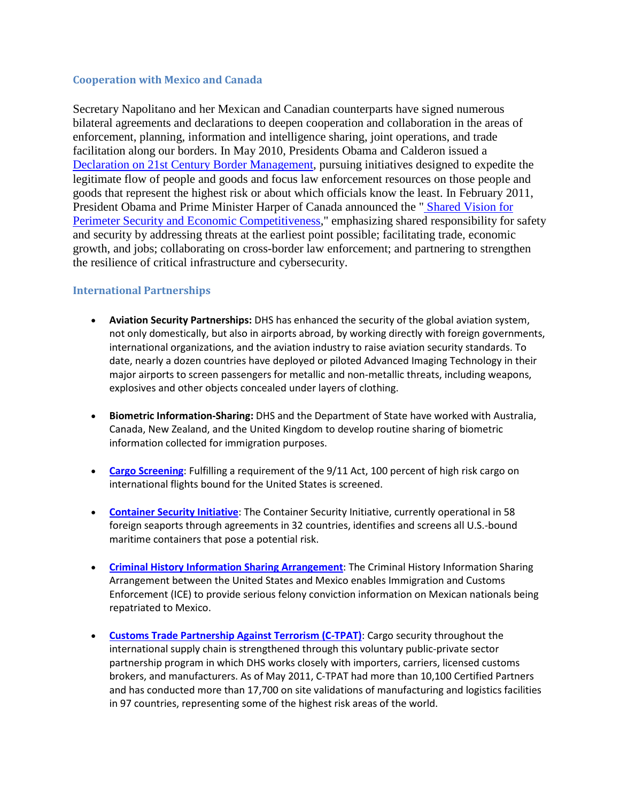#### **Cooperation with Mexico and Canada**

Secretary Napolitano and her Mexican and Canadian counterparts have signed numerous bilateral agreements and declarations to deepen cooperation and collaboration in the areas of enforcement, planning, information and intelligence sharing, joint operations, and trade facilitation along our borders. In May 2010, Presidents Obama and Calderon issued a [Declaration on 21st Century Border Management,](http://www.whitehouse.gov/the-press-office/declaration-government-united-states-america-and-government-united-mexican-states-c) pursuing initiatives designed to expedite the legitimate flow of people and goods and focus law enforcement resources on those people and goods that represent the highest risk or about which officials know the least. In February 2011, President Obama and Prime Minister Harper of Canada announced the " [Shared Vision for](http://www.whitehouse.gov/the-press-office/2011/02/04/declaration-president-obama-and-prime-minister-harper-canada-beyond-bord)  [Perimeter Security and Economic Competitiveness,](http://www.whitehouse.gov/the-press-office/2011/02/04/declaration-president-obama-and-prime-minister-harper-canada-beyond-bord)" emphasizing shared responsibility for safety and security by addressing threats at the earliest point possible; facilitating trade, economic growth, and jobs; collaborating on cross-border law enforcement; and partnering to strengthen the resilience of critical infrastructure and cybersecurity.

#### **International Partnerships**

- **Aviation Security Partnerships:** DHS has enhanced the security of the global aviation system, not only domestically, but also in airports abroad, by working directly with foreign governments, international organizations, and the aviation industry to raise aviation security standards. To date, nearly a dozen countries have deployed or piloted Advanced Imaging Technology in their major airports to screen passengers for metallic and non-metallic threats, including weapons, explosives and other objects concealed under layers of clothing.
- **Biometric Information-Sharing:** DHS and the Department of State have worked with Australia, Canada, New Zealand, and the United Kingdom to develop routine sharing of biometric information collected for immigration purposes.
- **[Cargo Screening](http://www.tsa.dhs.gov/what_we_do/layers/aircargo/certified_screening.shtm)**: Fulfilling a requirement of the 9/11 Act, 100 percent of high risk cargo on international flights bound for the United States is screened.
- **[Container Security Initiative](http://www.dhs.gov/files/programs/gc_1165872287564.shtm)**: The Container Security Initiative, currently operational in 58 foreign seaports through agreements in 32 countries, identifies and screens all U.S.-bound maritime containers that pose a potential risk.
- **[Criminal History Information Sharing Arrangement](http://www.dhs.gov/ynews/releases/pr_1269400206038.shtm)**: The Criminal History Information Sharing Arrangement between the United States and Mexico enables Immigration and Customs Enforcement (ICE) to provide serious felony conviction information on Mexican nationals being repatriated to Mexico.
- **[Customs Trade Partnership Against Terrorism \(C-TPAT\)](http://www.cbp.gov/xp/cgov/trade/cargo_security/ctpat/)**: Cargo security throughout the international supply chain is strengthened through this voluntary public-private sector partnership program in which DHS works closely with importers, carriers, licensed customs brokers, and manufacturers. As of May 2011, C-TPAT had more than 10,100 Certified Partners and has conducted more than 17,700 on site validations of manufacturing and logistics facilities in 97 countries, representing some of the highest risk areas of the world.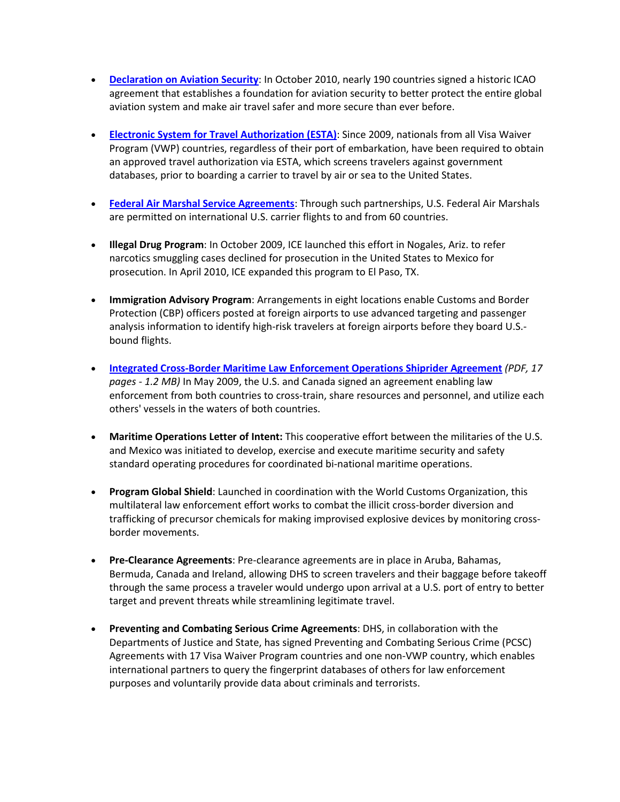- **[Declaration on Aviation Security](http://www.whitehouse.gov/the-press-office/2010/10/09/statement-president-commending-declaration-aviation-security)**: In October 2010, nearly 190 countries signed a historic ICAO agreement that establishes a foundation for aviation security to better protect the entire global aviation system and make air travel safer and more secure than ever before.
- **[Electronic System for Travel Authorization \(ESTA\)](http://www.cbp.gov/xp/cgov/travel/id_visa/esta/)**: Since 2009, nationals from all Visa Waiver Program (VWP) countries, regardless of their port of embarkation, have been required to obtain an approved travel authorization via ESTA, which screens travelers against government databases, prior to boarding a carrier to travel by air or sea to the United States.
- **[Federal Air Marshal Service Agreements](http://www.tsa.gov/lawenforcement/index.shtm)**: Through such partnerships, U.S. Federal Air Marshals are permitted on international U.S. carrier flights to and from 60 countries.
- **Illegal Drug Program**: In October 2009, ICE launched this effort in Nogales, Ariz. to refer narcotics smuggling cases declined for prosecution in the United States to Mexico for prosecution. In April 2010, ICE expanded this program to El Paso, TX.
- **Immigration Advisory Program**: Arrangements in eight locations enable Customs and Border Protection (CBP) officers posted at foreign airports to use advanced targeting and passenger analysis information to identify high-risk travelers at foreign airports before they board U.S. bound flights.
- **[Integrated Cross-Border Maritime Law Enforcement Operations Shiprider Agreement](http://www.dhs.gov/xlibrary/assets/shiprider_agreement.pdf)** *(PDF, 17 pages - 1.2 MB)* In May 2009, the U.S. and Canada signed an agreement enabling law enforcement from both countries to cross-train, share resources and personnel, and utilize each others' vessels in the waters of both countries.
- **Maritime Operations Letter of Intent:** This cooperative effort between the militaries of the U.S. and Mexico was initiated to develop, exercise and execute maritime security and safety standard operating procedures for coordinated bi-national maritime operations.
- **Program Global Shield**: Launched in coordination with the World Customs Organization, this multilateral law enforcement effort works to combat the illicit cross-border diversion and trafficking of precursor chemicals for making improvised explosive devices by monitoring crossborder movements.
- **Pre-Clearance Agreements**: Pre-clearance agreements are in place in Aruba, Bahamas, Bermuda, Canada and Ireland, allowing DHS to screen travelers and their baggage before takeoff through the same process a traveler would undergo upon arrival at a U.S. port of entry to better target and prevent threats while streamlining legitimate travel.
- **Preventing and Combating Serious Crime Agreements**: DHS, in collaboration with the Departments of Justice and State, has signed Preventing and Combating Serious Crime (PCSC) Agreements with 17 Visa Waiver Program countries and one non-VWP country, which enables international partners to query the fingerprint databases of others for law enforcement purposes and voluntarily provide data about criminals and terrorists.